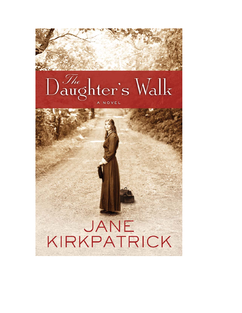# Daughter's Walk

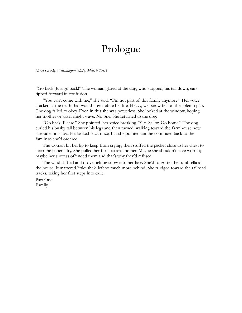## Prologue

*Mica Creek, Washington State, March 1901* 

"Go back! Just go back!" The woman glared at the dog, who stopped, his tail down, ears tipped forward in confusion.

"You can't come with me," she said. "I'm not part of this family anymore." Her voice cracked at the truth that would now define her life. Heavy, wet snow fell on the solemn pair. The dog failed to obey. Even in this she was powerless. She looked at the window, hoping her mother or sister might wave. No one. She returned to the dog.

"Go back. Please." She pointed, her voice breaking. "Go, Sailor. Go home." The dog curled his bushy tail between his legs and then turned, walking toward the farmhouse now shrouded in snow. He looked back once, but she pointed and he continued back to the family as she'd ordered.

The woman bit her lip to keep from crying, then stuffed the packet close to her chest to keep the papers dry. She pulled her fur coat around her. Maybe she shouldn't have worn it; maybe her success offended them and that's why they'd refused.

The wind shifted and drove pelting snow into her face. She'd forgotten her umbrella at the house. It mattered little; she'd left so much more behind. She trudged toward the railroad tracks, taking her first steps into exile.

Part One Family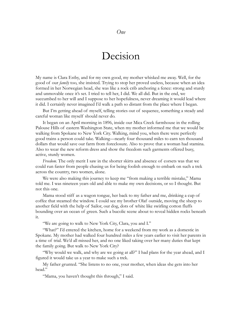## Decision

My name is Clara Estby, and for my own good, my mother whisked me away. Well, for the good of our *family* too, she insisted. Trying to stop her proved useless, because when an idea formed in her Norwegian head, she was like a rock crib anchoring a fence: strong and sturdy and unmovable once it's set. I tried to tell her, I did. We all did. But in the end, we succumbed to her will and I suppose to her hopefulness, never dreaming it would lead where it did. I certainly never imagined I'd walk a path so distant from the place where I began.

But I'm getting ahead of myself, telling stories out of sequence, something a steady and careful woman like myself should never do.

It began on an April morning in 1896, inside our Mica Creek farmhouse in the rolling Palouse Hills of eastern Washington State, when my mother informed me that we would be walking from Spokane to New York City. Walking, mind you, when there were perfectly good trains a person could take. Walking—nearly four thousand miles to earn ten thousand dollars that would save our farm from foreclosure. Also to prove that a woman had stamina. Also to wear the new reform dress and show the freedom such garments offered busy, active, sturdy women.

*Freedom.* The only merit I saw in the shorter skirts and absence of corsets was that we could run faster from people chasing us for being foolish enough to embark on such a trek across the country, two women, alone.

We were also making this journey to keep me "from making a terrible mistake," Mama told me. I was nineteen years old and able to make my own decisions, or so I thought. But not this one.

Mama stood stiff as a wagon tongue, her back to my father and me, drinking a cup of coffee that steamed the window. I could see my brother Olaf outside, moving the sheep to another field with the help of Sailor, our dog, dots of white like swirling cotton fluffs bounding over an ocean of green. Such a bucolic scene about to reveal hidden rocks beneath it.

"We are going to walk to New York City, Clara, you and I."

"What?" I'd entered the kitchen, home for a weekend from my work as a domestic in Spokane. My mother had walked four hundred miles a few years earlier to visit her parents in a time of trial. We'd all missed her, and no one liked taking over her many duties that kept the family going. But walk to New York City?

"Why would we walk, and why are we going at all?" I had plans for the year ahead, and I figured it would take us a year to make such a trek.

My father grunted. "She listens to no one, your mother, when ideas she gets into her head."

"Mama, you haven't thought this through," I said.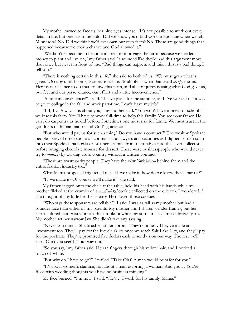My mother turned to face us, her blue eyes intense. "It's not possible to work out every detail in life, but one has to be bold. Did we know you'd find work in Spokane when we left Minnesota? No. Did we think we'd ever own our own farm? No. These are good things that happened because we took a chance and God allowed it."

"We didn't expect me to become injured, to mortgage the farm because we needed money to plant and live on," my father said. It sounded like they'd had this argument more than once but never in front of me. "Bad things can happen, and this…this is a bad thing, I tell you."

"There is nothing certain in this life," she said to both of us. "We must grab what is given. 'Occupy until I come,' Scripture tells us. 'Multiply' is what that word *occupy* means. Here is our chance to do that, to save this farm, and all it requires is using what God gave us, our feet and our perseverance, our effort and a little inconvenience."

"A little inconvenience?" I said. "I have plans for the summer, and I've worked out a way to go to college in the fall and work part-time. I can't leave my job."

"I, I, I… Always it is about you," my mother said. "You won't have money for school if we lose this farm. You'll have to work full-time to help this family. You see your father. He can't do carpentry as he did before. Sometimes one must risk for family. We must trust in the goodness of human nature and God's guidance."

"But who would pay us for such a thing? Do you have a contract?" The wealthy Spokane people I served often spoke of contracts and lawyers and securities as I dipped squash soup into their Spode china bowls or brushed crumbs from their tables into the silver collectors before bringing chocolate mousse for dessert. These were businesspeople who would never try to *multiply* by walking cross-country without a written contract.

"These are trustworthy people. They have the *New York World* behind them and the entire fashion industry too."

What Mama proposed frightened me. "If we make it, how do we know they'll pay us?"

"If we make it? Of course we'll make it," she said.

My father sagged onto the chair at the table, held his head with his hands while my mother flicked at the crumbs of a *sandbakkel* cookie collected on the oilcloth. I wondered if she thought of my little brother Henry. He'd loved those cookies.

"Who says these sponsors are reliable?" I said. I was as tall as my mother but had a rounder face than either of my parents. My mother and I shared slender frames, but her earth-colored hair twisted into a thick topknot while my soft curls lay limp as brown yarn. My mother set her narrow jaw. She didn't take any sassing.

"Never you mind." She brushed at her apron. "They're honest. They've made an investment too. They'll pay for the bicycle skirts once we reach Salt Lake City, and they'll pay for the portraits. They've promised five dollars cash to send us on our way. The rest we'll earn. Can't you see? It's our way out."

"So you say," my father said. He ran fingers through his yellow hair, and I noticed a touch of white.

"But why do I have to go?" I wailed. "Take Olaf. A man would be safer for you."

"It's about women's stamina, not about a man escorting a woman. And you… You're filled with wedding thoughts you have no business thinking."

My face burned. "I'm not," I said. "He's… I work for his family, Mama."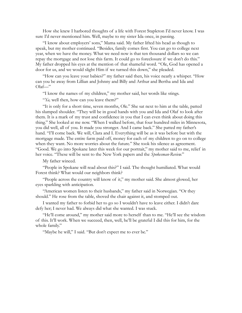How she knew I harbored thoughts of a life with Forest Stapleton I'd never know. I was sure I'd never mentioned him. Well, maybe to my sister Ida once, in passing.

"I know about employers' sons," Mama said. My father lifted his head as though to speak, but my mother continued. "Besides, family comes first. You can go to college next year, when we have the money. What we need now is that ten thousand dollars so we can repay the mortgage and not lose this farm. It could go to foreclosure if we don't do this." My father dropped his eyes at the mention of that shameful word. "Ole, God has opened a door for us, and we would slight Him if we turned this down," she pleaded.

"How can you leave your babies?" my father said then, his voice nearly a whisper. "How can you be away from Lillian and Johnny and Billy and Arthur and Bertha and Ida and  $Olaf$ —"

"I know the names of my children," my mother said, her words like stings.

"*Ya,* well then, how can you leave them?"

"It is only for a short time, seven months, Ole." She sat next to him at the table, patted his slumped shoulder. "They will be in good hands with you and Ida and Olaf to look after them. It is a mark of my trust and confidence in you that I can even think about doing this thing." She looked at me now. "When I walked before, that four hundred miles in Minnesota, you did well, all of you. It made you stronger. And I came back." She patted my father's hand. "I'll come back. We will, Clara and I. Everything will be as it was before but with the mortgage made. The entire farm paid off, money for each of my children to go on to college when they want. No more worries about the future." She took his silence as agreement. "Good. We go into Spokane later this week for our portrait," my mother said to me, relief in her voice. "These will be sent to the New York papers and the *Spokesman-Review.*"

My father winced.

"People in Spokane will read about this?" I said. The thought humiliated. What would Forest think? What would our neighbors think?

"People across the country will know of it," my mother said. She almost glowed, her eyes sparkling with anticipation.

"American women listen to their husbands," my father said in Norwegian. "Or they should." He rose from the table, shoved the chair against it, and stomped out.

I wanted my father to forbid her to go so I wouldn't have to leave either. I didn't dare defy her; I never had. We always did what she wanted. I was stuck.

"He'll come around," my mother said more to herself than to me. "He'll see the wisdom of this. It'll work. When we succeed, then, well, he'll be grateful I did this for him, for the whole family."

"Maybe he will," I said. "But don't expect me to ever be."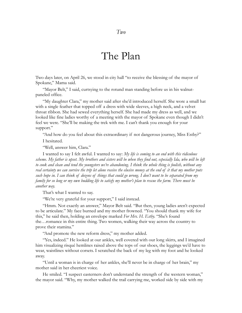### *Two*

## The Plan

Two days later, on April 26, we stood in city hall "to receive the blessing of the mayor of Spokane," Mama said.

"Mayor Belt," I said, curtsying to the rotund man standing before us in his walnutpaneled office.

"My daughter Clara," my mother said after she'd introduced herself. She wore a small hat with a single feather that topped off a dress with wide sleeves, a high neck, and a velvet throat ribbon. She had sewed everything herself. She had made my dress as well, and we looked like fine ladies worthy of a meeting with the mayor of Spokane even though I didn't feel we were. "She'll be making the trek with me. I can't thank you enough for your support."

"And how do you feel about this extraordinary if not dangerous journey, Miss Estby?"

I hesitated.

"Well, answer him, Clara."

I wanted to say I felt awful. I wanted to say: *My life is coming to an end with this ridiculous scheme. My father is upset. My brothers and sisters will be when they find out, especially Ida, who will be left to cook and clean and tend the youngsters we're abandoning. I think the whole thing is foolish, without any real certainty we can survive the trip let alone receive the elusive money at the end of it that my mother puts such hope in. I can think of dozens of things that could go wrong. I don't want to be separated from my family for so long or my own budding life to satisfy my mother's plan to rescue the farm. There must be another way.*

That's what I wanted to say.

"We're very grateful for your support," I said instead.

"Hmm. Not exactly an answer," Mayor Belt said. "But then, young ladies aren't expected to be articulate." My face burned and my mother frowned. "You should thank my wife for this," he said then, holding an envelope marked *For Mrs. H. Estby.* "She's found the…romance in this entire thing. Two women, walking their way across the country to prove their stamina."

"And promote the new reform dress," my mother added.

"Yes, indeed." He looked at our ankles, well covered with our long skirts, and I imagined him visualizing risqué hemlines raised above the tops of our shoes, the leggings we'd have to wear, waistlines without corsets. I scratched the back of my leg with my foot and he looked away.

"Until a woman is in charge of her ankles, she'll never be in charge of her brain," my mother said in her cheeriest voice.

He smiled. "I suspect easterners don't understand the strength of the western woman," the mayor said. "Why, my mother walked the trail carrying me, worked side by side with my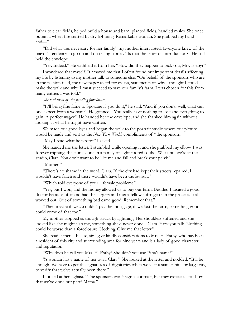father to clear fields, helped build a house and barn, planted fields, handled mules. She once outran a wheat fire started by dry lightning. Remarkable woman. She grabbed my hand and—"

"Did what was necessary for her family," my mother interrupted. Everyone knew of the mayor's tendency to go on and on telling stories. "Is that the letter of introduction?" He still held the envelope.

"Yes. Indeed." He withheld it from her. "How did they happen to pick you, Mrs. Estby?"

I wondered that myself. It amazed me that I often found out important details affecting my life by listening to my mother talk to someone else. "On behalf of the sponsors who are in the fashion field, the newspaper asked for essays, statements of why I thought I could make the walk and why I must succeed to save our family's farm. I was chosen for this from many entries I was told."

#### *She told them of the pending foreclosure.*

"It'll bring fine fame to Spokane if you do it," he said. "And if you don't, well, what can one expect from a woman?" He grinned. "You really have nothing to lose and everything to gain. A perfect wager." He handed her the envelope, and she thanked him again without looking at what he might have written.

We made our good-byes and began the walk to the portrait studio where our picture would be made and sent to the *New York World,* compliments of "the sponsors."

"May I read what he wrote?" I asked.

She handed me the letter. I stumbled while opening it and she grabbed my elbow. I was forever tripping, the clumsy one in a family of light-footed souls. "Wait until we're at the studio, Clara. You don't want to be like me and fall and break your pelvis."

"Mother!"

"There's no shame in the word, Clara. If the city had kept their streets repaired, I wouldn't have fallen and there wouldn't have been the lawsuit."

"Which told everyone of your…female problems."

"Yes, but I won, and the money allowed us to buy our farm. Besides, I located a good doctor because of it and had the surgery and met a fellow suffragette in the process. It all worked out. Out of something bad came good. Remember that."

"Then maybe if we…couldn't pay the mortgage, if we lost the farm, something good could come of that too."

My mother stopped as though struck by lightning. Her shoulders stiffened and she looked like she might slap me, something she'd never done. "Clara. How you talk. Nothing could be worse than a foreclosure. Nothing. Give me that letter."

She read it then. "Please, sirs, give kindly considerations to Mrs. H. Estby, who has been a resident of this city and surrounding area for nine years and is a lady of good character and reputation."

"Why does he call you Mrs. H. Estby? Shouldn't you use Papa's name?"

"A woman has a name of her own, Clara." She looked at the letter and nodded. "It'll be enough. We have to get the signatures of dignitaries when we visit a state capital or large city, to verify that we've actually been there."

I looked at her, aghast. "The sponsors won't sign a contract, but they expect us to show that we've done our part? Mama."